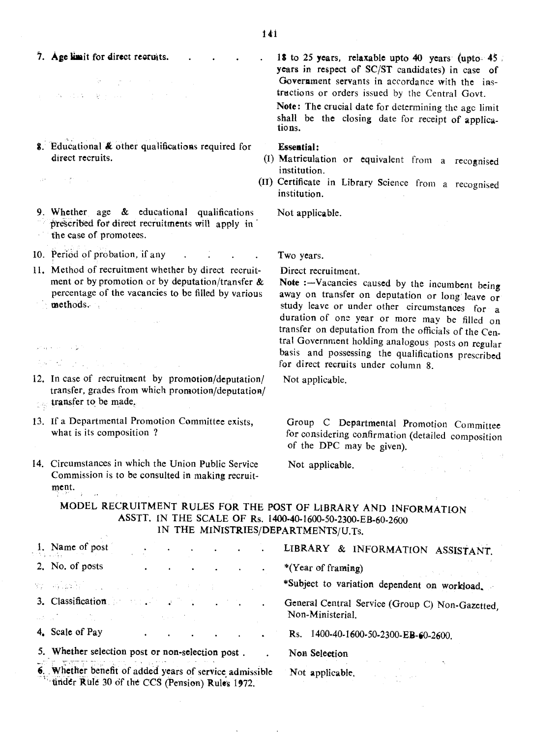- 7. Age limit for direct recruits.
- $\mathcal{L}^{\mathcal{L}}$  . The spectral properties of the spectral properties of  $\mathcal{L}^{\mathcal{L}}$  $\label{eq:3.1} \mathcal{A} \mathbf{x} = \left\{ \mathbf{1}, \mathbf{3}, \cdots, \mathbf{3} \right\} \in \mathbb{R}^{d_{\text{max}} \times d_{\text{max}} \times d_{\text{max}} \times d_{\text{max}} \times d_{\text{max}} \times d_{\text{max}} \times d_{\text{max}} \times d_{\text{max}} \times d_{\text{max}} \times d_{\text{max}} \times d_{\text{max}} \times d_{\text{max}} \times d_{\text{max}} \times d_{\text{max}} \times d_{\text{max}} \times d_{\text{max}} \times d_{\text{max}} \times d_{\text{max}}$
- 8. Educational & other qualifications required for direct recruits.
- 9. Whether age & educational qualifications prescribed for direct recruitments will apply in
- the Case of promotees.

 $\mathcal{A}(\mathcal{C})$  and  $\mathcal{C}(\mathcal{C})$  . The same

- 10. Period of probation, if any
- 11. Method of recruitment whether by direct recruitment or by promotion or by deputation/transfer  $\&$ percentage of the vacancies to be filled by various methods.
- $\label{eq:2.1} \frac{1}{2} \left( \mathbf{S}^{(1)} \cdot \mathbf{S}^{(1)} \right) = \frac{1}{2} \left( \mathbf{S}^{(1)} \cdot \mathbf{S}^{(1)} \right) \left( \mathbf{S}^{(1)} \cdot \mathbf{S}^{(1)} \right)$ 12. In case of recruitment by promotion/deputation/ transfer, grades from which promotion/deputation/
- transfer to be made,  $\frac{1}{2},\frac{1}{222}$

 $\label{eq:2.1} \mathcal{L}^{\mathcal{L}}(\omega_{\mathcal{L}}(t),\omega_{\mathcal{L}}(t))\leq \mathcal{L}^{\mathcal{L}}(\omega_{\mathcal{L}}(t),\omega_{\mathcal{L}}(t))\leq \mathcal{L}(\omega_{\mathcal{L}}(t))$ 

- 13. If a Departmental Promotion Committee exists, what is its composition?
- 14. Circumstances in which the Union Public Service Commission is to be consulted in making recruitment.  $\chi^2 = \chi^2$

18 to 25 years, relaxable upto 40 years (upto- $45$ ) years in respect of SC/ST candidates) in case of Government servants in accordance with the instructions or orders issued by the Central Govt.

Note: The crucial date for determining the agc limit shall be the closing date for receipt of applications.

## Essential:

- (I) Matriculation or equivalent from a recognised institution.
- (II) Certificate in Library Science from a recognised institution.

Not applicable.

Two years.

Direct recruitment.

Note : $-Vacancies$  caused by the incumbent being away on transfer on deputation or long leave or study leave or under other circumstances for a duration of one year or more may be filled on transfer on deputation from the officials of the Central Government holding analogous posts on regular basis and possessing the qualifications prescribed for direct recruits under column 8.

Not applicable.

Group C Departmental Promotion Committee for considering confirmation (detailed composition of the DPC may be given).

 $\label{eq:2.1} \mathcal{L}_{\text{max}} = \mathcal{L}_{\text{max}} \left( \mathcal{L}_{\text{max}} \right) \left( \mathcal{L}_{\text{max}} \right)$ 

在 1000

Not applicable.

# MODEL RECRUITMENT RULES FOR THE POST OF LIBRARY AND INFORMATION ASSTT. IN THE SCALE OF Rs. 1400-40-1600-50·2300-EB-60-2600 IN THE MINISTRIES/DEPARTMENTS/U.Ts.

| 1. Name of post<br>The process of                                                                                                                                                                                                                                                                                                                                                                                                                                                                                                                                                                                                                                                    |  |                                    |  |  |  |                 | LIBRARY & INFORMATION ASSISTANT.                                    |
|--------------------------------------------------------------------------------------------------------------------------------------------------------------------------------------------------------------------------------------------------------------------------------------------------------------------------------------------------------------------------------------------------------------------------------------------------------------------------------------------------------------------------------------------------------------------------------------------------------------------------------------------------------------------------------------|--|------------------------------------|--|--|--|-----------------|---------------------------------------------------------------------|
| 2. No. of posts                                                                                                                                                                                                                                                                                                                                                                                                                                                                                                                                                                                                                                                                      |  | $\sim$ $\sim$ $\sim$ $\sim$ $\sim$ |  |  |  |                 | *(Year of framing)<br>しゃく コンティースト                                   |
| $\mathbf{y}_i$ , and $\mathbf{y}_i$ , and $\mathbf{y}_i$ , and $\mathbf{y}_i$ , and $\mathbf{y}_i$ , and $\mathbf{y}_i$                                                                                                                                                                                                                                                                                                                                                                                                                                                                                                                                                              |  |                                    |  |  |  |                 | *Subject to variation dependent on workload.                        |
| 3. Classification and the contract of the contract of the contract of the contract of the contract of the contract of the contract of the contract of the contract of the contract of the contract of the contract of the cont<br>$\Delta \mathcal{L}_\text{c} = \left\{ \begin{array}{ll} \mathcal{L}_\text{c} = \mathcal{L}_\text{c} = \mathcal{L}_\text{c} = \mathcal{L}_\text{c} = \mathcal{L}_\text{c} = \mathcal{L}_\text{c} = \mathcal{L}_\text{c} = \mathcal{L}_\text{c} = \mathcal{L}_\text{c} = \mathcal{L}_\text{c} = \mathcal{L}_\text{c} = \mathcal{L}_\text{c} = \mathcal{L}_\text{c} = \mathcal{L}_\text{c} = \mathcal{L}_\text{c} = \mathcal{L}_\text{c} = \mathcal$ |  |                                    |  |  |  | $\cdot$         | General Central Service (Group C) Non-Gazetted.<br>Non-Ministerial. |
| 4. Scale of Pay                                                                                                                                                                                                                                                                                                                                                                                                                                                                                                                                                                                                                                                                      |  |                                    |  |  |  | $\bullet$       | 1400-40-1600-50-2300-EB-60-2600.<br>$\mathbf{R}$ s.                 |
| 5. Whether selection post or non-selection post.                                                                                                                                                                                                                                                                                                                                                                                                                                                                                                                                                                                                                                     |  |                                    |  |  |  |                 | Non Selection                                                       |
| 6. Whether benefit of added years of service admissible<br>under Rule 30 of the CCS (Pension) Rules 1972.                                                                                                                                                                                                                                                                                                                                                                                                                                                                                                                                                                            |  |                                    |  |  |  | Not applicable. |                                                                     |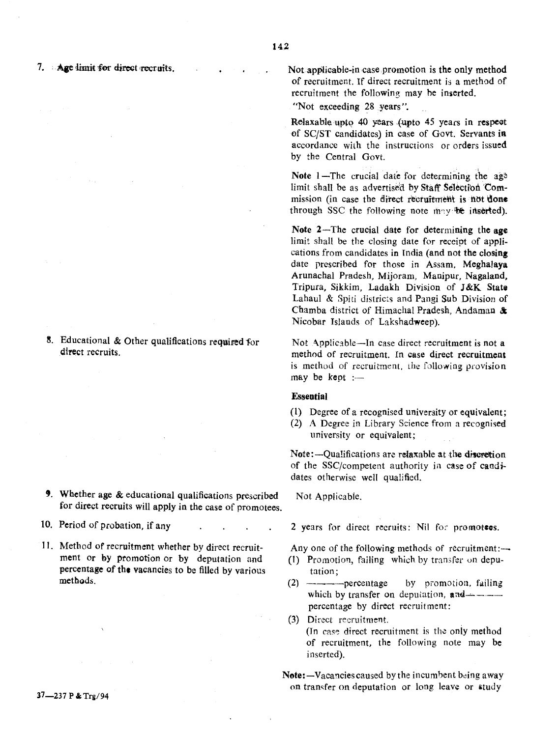8. Educational & Other qualifications required for direct recruits.

- 9. Whether age  $&$  educational qualifications prescribed for direct recruits will apply in the case of promotees.
- 10. Period of probation, if any
- 11. Method of recruitment whether by direct recruitment or by promotion or by deputation and percentage of the vacancies to be filled by various methods.

Not applicable-in case promotion is the only method of recruitment. If direct recruitment is a method of recruitment the following may be inserted.

"Not exceeding 28 years".

Relaxable upto 40 years (upto 45 years in respect of *SCjST* candidates) in case of Govt. Servants iR accordance with the instructions or orders issued by the Central Govt.

Note  $1$ -The crucial date for determining the age limit shall be as advertised by Staff Selection Commission (in case the direct recruitment is not done through SSC the following note may be inserted).

Note 2-The crucial date for determining the age limit shall be the closing date for receipt of applications from candidates in India (and not the closing date prescribed for those in Assam, Meghalaya Arunachal Pradesh, Mijoram, Mauipur, Nagaland, Tripura, Sikkim, Ladakh Division of J&K State Labaul & Spiti districts and Pangi Sub Division of Chamba district of Himachal Pradesh, Andaman & Nicobar Islands of Lakshadweep).

Not Applicable-In case direct recruitment is not a method of recruitment. In case direct recruitment is method of recruitment. the following provision may be kept

## **Essential**

- (1) Degree of a recognised university or equivalent;
- (2) A Degree in Library Science from a recognised university or equivalent;

Note:-Qualifications are relaxable at the discretion of the SSC/competent authority in case of candidates otherwise well qualified.

Not Applicable.

- 2 years for direct recruits: Nil for promotees.
- Any one of the following methods of recruitment: $\rightarrow$
- (1) Promotion, failing which by transfer 0n deputation;
- $(2)$  ------------percentage by promotion, failing which by transfer on deputation,  $and$ ----percentage by direct recruitment:

(3) Direet recruitment. (In case direct recruitment is the only method of recruitment, the following note may be inserted).

Note: $-Vacancies caused by the incumbent being away$ on transfer on deputation or long leave or study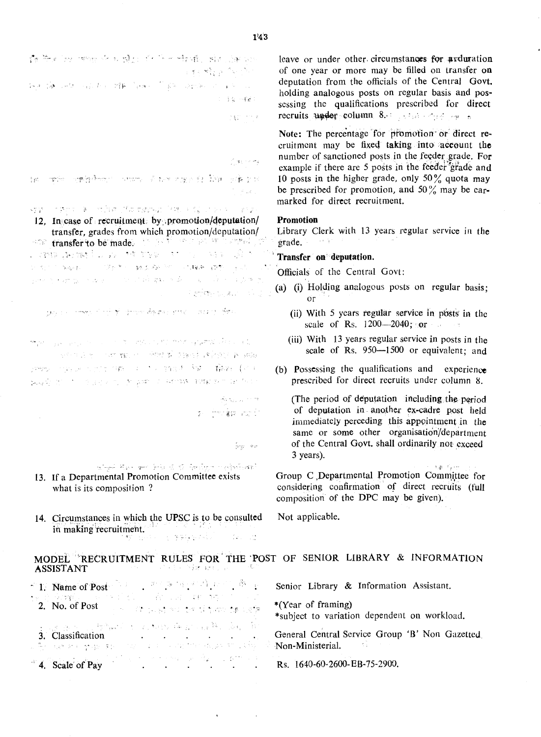費劳利分 燃油 化光谱比 化下分增强 固形造物的 医单元性乳头 医马克氏

4-4 13 小型 网络大小 雅 (mail ) 38 小时间 2014 10 10 10  $1-\tfrac{1}{2}\tfrac{1}{2}+\cdots+\tfrac{1}{2}\tfrac{1}{2}+\tfrac{1}{2}\tfrac{1}{2}+\tfrac{1}{2}\tfrac{1}{2}+\tfrac{1}{2}\tfrac{1}{2}+\tfrac{1}{2}\tfrac{1}{2}+\tfrac{1}{2}\tfrac{1}{2}+\tfrac{1}{2}\tfrac{1}{2}+\tfrac{1}{2}\tfrac{1}{2}+\tfrac{1}{2}\tfrac{1}{2}+\tfrac{1}{2}\tfrac{1}{2}+\tfrac{1}{2}\tfrac{1}{2}+\tfrac{1}{2}\tfrac{1}{2}+\tfrac{1}{2}\tfrac{1}{2}+\tfrac{1}{$ 

1970 minut

## The college

ਾਲ ਵੀ ਦੇ ਪੰਜਾਬੀ ਪੰਜਾਬੀ ਦੇ ਪਾਰਟ ਦਾ ਪੰਜਾਬੀ ਉੱਤੇ ਹੋ

 $\Delta\mathbf{y}$  in the state  $\mathbf{y}$  is the second of the state of  $\mathbf{y}$  , the state of the state 12. In case of recruitment by promotion/deputation/ transfer, grades from which promotion/deputation/ The transfer to be made. This is the support of the second control of  $\hat{\mathcal{G}}_{\mu}$  , and the second second party party of 计内部 医胸膜 医二甲基苯二甲酰乙烯 计自动转换 模型 فتور أنتشر والمستقر والمتفهرة والمتاريخ والمتحرق والمعروف والمتوا of grids and guitar and in

بالمؤد المستوارين المهارون والمعوروق المتواطن المحافظة المستحدث والمرورة

mark of gas and a transfer to the mean of the mean agreement and a large "你们的话吗?""你们就……"一种标准 医输卵管 医异原体 医白酸钠 sees called the one of a most for the state 网络家庭的 医白细胞 医血管 医血管 网络维生素

> Articles Store g, <del>herĝa po</del> f

> > $\frac{1}{V}r_B=\pm \pi$

algebra var kind 12 januar valvinati 13. If a Departmental Promotion Committee exists

- what is its composition?
- 14. Circumstances in which the UPSC is to be consulted in making recruitment. ta ng patikalalan  $-72.7$

leave or under other circumstances for arduration of one year or more may be filled on transfer on deputation from the officials of the Central Govt. holding analogous posts on regular basis and possessing the qualifications prescribed for direct recruits under column 8. Section of the state

Note: The percentage for promotion or direct recruitment may be fixed taking into account the number of sanctioned posts in the feeder grade. For example if there are 5 posts in the feeder grade and 10 posts in the higher grade, only 50% quota may be prescribed for promotion, and 50% may be earmarked for direct recruitment.

## **Promotion**

Library Clerk with 13 years regular service in the grade.  $\sim 6-7$ 

## Transfer on deputation.

Officials of the Central Govt:

- (a) (i) Holding analogous posts on regular basis; or
	- (ii) With 5 years regular service in posts in the scale of Rs.  $1200 - 2040$ ; or
	- (iii) With 13 years regular service in posts in the scale of Rs. 950-1500 or equivalent; and
- (b) Possessing the qualifications and experience prescribed for direct recruits under column 8.

(The period of deputation including the period of deputation in another ex-cadre post held immediately perceding this appointment in the same or some other organisation/department of the Central Govt. shall ordinarily not exceed 3 years).

المحركات وإراق

Group C Departmental Promotion Committee for considering confirmation of direct recruits (full composition of the DPC may be given).

Not applicable.

#### MODEL "RECRUITMENT RULES FOR THE POST OF SENIOR LIBRARY & INFORMATION ste i statističnim program **ASSISTANT**

| <b>1.</b> Name of Post $\begin{bmatrix} 1 & 1 & 1 & 1 \\ 0 & 1 & 1 & 1 \end{bmatrix}$                                                                                | Senior Library & Information Assistant.                            |
|----------------------------------------------------------------------------------------------------------------------------------------------------------------------|--------------------------------------------------------------------|
| 4월 전 중:54일 - 1990년 3월 10일 출발 12일 - 10일 3월 10일 10일 10<br><b>2.</b> No. of Post $\mathbb{R}^n$ and the set of a set of the set $\mathbb{R}^n$                          | *(Year of framing)<br>*subject to variation dependent on workload. |
| 法国立政治 医静脉的 经无相联 医异常性脑炎 海水角<br>where $\mathbf{v}_i$ is the space space of $\mathbf{v}_i$ and the sequence of $\mathbf{v}_i$ . Non-Ministerial, and $\mathbf{v}_i$ and | General Central Service Group 'B' Non Gazetted                     |
| 4. Scale of Pay Rs. 1640-60-2600-EB-75-2900.                                                                                                                         |                                                                    |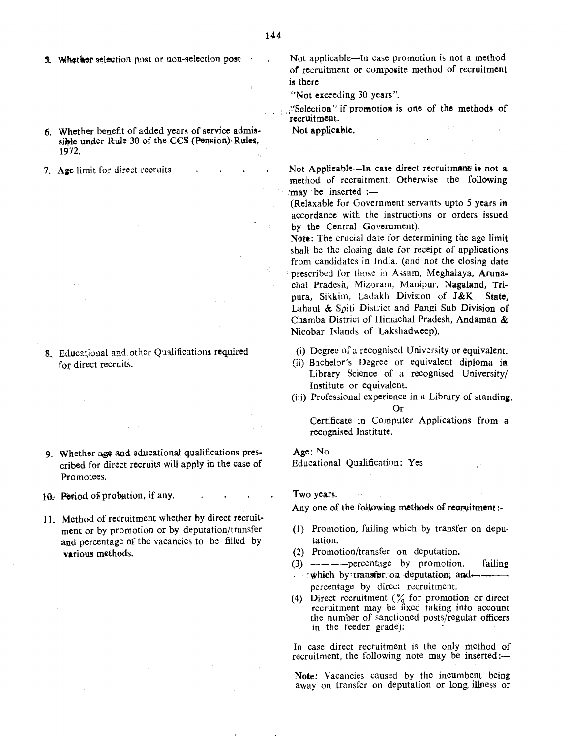- 5. Whether selection post or non-selection post
- 6. Whether benefit of added years of service admissible under Rule 30 of the CCS (Pension) Rules, 1972.
- 7. Age limit for direct recruits

8. Educational and other Qualifications required for direct recruits.

- 9. Whether age and educational qualifications prescribed for direct recruits will apply in the case of Promotees.
- 10. Period of probation, if any.
- II. Method of recruitment whether by direct recruitment or by promotion or by deputation/transfer and percentage of the vacancies to be filled by various methods.
- Not applicable-In case promotion is not a method of recruitment or composite method of recruitment is there
- "Not exceeding 30 years".
- : Selection" if promotion is one of the methods of recruitment.

Not applicable.

Not Applicable---In case direct recruitment is not a method of recruitment. Otherwise the following 'may' be inserted  $:=$ 

(Relaxable for Government servants upto 5 years in accordance with the instructions or orders issued by the Central Government).

Note: The crucial date for determining the age limit shall be the closing date for receipt of applications from candidates in India. (and not the closing date prescribed for those in Assam, Meghalaya, Arunachal Pradesh, Mizoram, Manipur, Nagaland, Tripura, Sikkim, Ladakh Division of J&K State, Lahaul & Spiti District and Pangi Sub Division of Chamba District of Himachal Pradesh, Andaman & Nicobar Islands of Lakshadweep).

- (i) Degree of a recognised University or equivalent.
- (ii) Blchelor's Degree or equivalent diploma in Library Science of a recognised University/ Institute or equivalent.
- (iii) Professional experience in a Library of standing. Or

Certificate in Computer Applications from a recognised Institute.

Age: No Educational Qualification: Yes

Two years.

Any one of the following methods of requiremnt:-

- (1) Promotion, failing which by transfer on deputation.
- (2) Promotion/transfer on deputation.
- $(3)$  ------------percentage by promotion, failing  $\cdots$  which by transfer, on deputation; and  $\cdots$ percentage by direct recruitment.
- (4) Direct recruitment  $\binom{9}{0}$  for promotion or direct recruitment may be fixed taking into account the number of sanctioned posts/regular officers in the feeder grade):

In case direct recruitment is the only method of recruitment, the following note may be inserted:—

Note: Vacancies caused by the incumbent being away on transfer on deputation or long illness or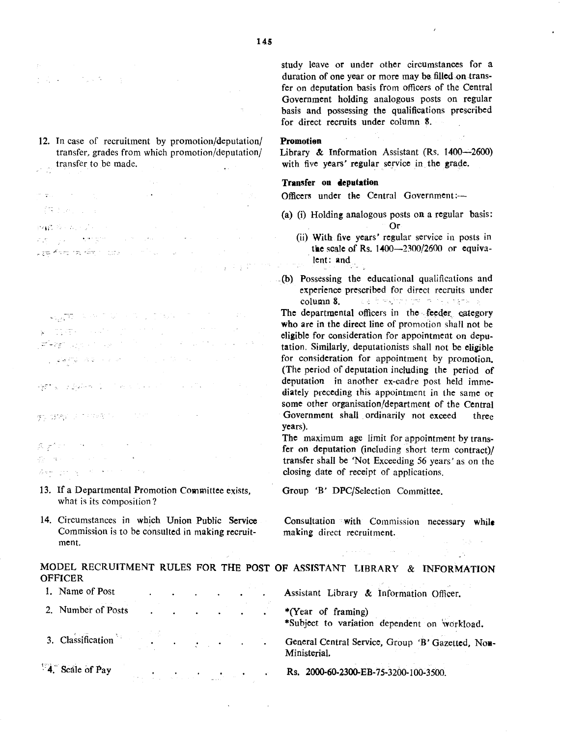**TAG + 10** in tijde te

- 12. In case of recruitment by promotion/deputation/ transfer, grades from which promotion/deputation/ transfer to be made.
- an gunu (集团的) 2013
- 投稿 後のあいぶん a programa de la construcción de la construcción de la construcción de la construcción de la construcción de l  $\sim 10^{11}$  km s  $^{-1}$ . <del>ಭ</del>ಾಗಿಕ ಸಂಸ್ಥೆಗಳ ಮಾಡಿದ್ದಾರೆ. ಅವರ ಸಂಸ್ಥೆ

 $\mathcal{L}_{\mathcal{M},\mathcal{G}}\overline{\mathcal{L}(\mathcal{H})}=\mathcal{L}_{\mathcal{M}}\left(\mathcal{H}\right)\left(\mathcal{H}\right)\left(\mathcal{H}\right)\left(\mathcal{H}\right)\left(\mathcal{H}\right)\left(\mathcal{H}\right)\left(\mathcal{H}\right)\left(\mathcal{H}\right)\left(\mathcal{H}\right)\left(\mathcal{H}\right)$  $\mathbf x$  , then a second constant  $\mathbf y$  and  $\mathbf x$  and  $\mathbf y$ **Prest** again as the financial  $\sim$  200  $\pm$  0.000  $\pm$ ਼ ਵਿੱਚ ਸ਼੍ਰੋਮਣ ਦੇ ਸ਼੍ਰੋਮਣ ਦਾ ਸ਼੍ਰੋਮਣ ਦੀ ਸ਼੍ਰੋਮਣ ਦੀ ਹੈ।<br>ਹਵਾਲੇ ਦੇ ਸ਼੍ਰੋਮਣ ਦਾ ਸ਼੍ਰੋਮਣ ਦੀ ਸ਼੍ਰੋਮਣ ਦੀ ਸ਼੍ਰੋਮਣ ਦੀ ਸ਼੍ਰੋਮਣ ਦਾ ਸ਼੍ਰੋਮਣ ਦਾ ਸ਼੍ਰੋਮਣ ਦੀ ਸ਼੍ਰੋਮਣ ਦਾ ਸ਼੍ਰੋਮਣ ਦਾ ਸ਼

**PASTER** CONSULTANCE IN THE RESEARCH

机 体格的 医直肠管内炎

森 大学 こうせいせいしょう アール  $\label{eq:QCD} Q_{\rm C}^{\rm C} = 0.001 \times 10^{-10} \times 10^{-10} \times 10^{-10} \times 10^{-10} \times 10^{-10} \times 10^{-10} \times 10^{-10} \times 10^{-10} \times 10^{-10} \times 10^{-10} \times 10^{-10} \times 10^{-10} \times 10^{-10} \times 10^{-10} \times 10^{-10} \times 10^{-10} \times 10^{-10} \times 10^{-10} \times 10^{-10} \times 10^{-10} \times 10^{-10} \times 10$ Are progressive and the

- 13. If a Departmental Promotion Committee exists, what is its composition?
- 14. Circumstances in which Union Public Service Commission is to be consulted in making recruitment.

study leave or under other circumstances for a duration of one year or more may be filled on transfer on deputation basis from officers of the Central Government holding analogous posts on regular basis and possessing the qualifications prescribed for direct recruits under column 8.

#### Promotian

Library & Information Assistant (Rs.  $1400 - 2600$ ) with five years' regular service in the grade.

## Transfer on deputation

Officers under the Central Government:-

- (a) (i) Holding analogous posts on a regular basis: Or
	- (ii) With five years' regular service in posts in the scale of Rs.  $1400 - 2300/2600$  or equivalent: and
- .(b) Possessing the educational qualifications and experience prescribed for direct recruits under column 8. The and major supermane and service and

The departmental officers in the feeder category who are in the direct line of promotion shall not be eligible for consideration for appointment on deputation. Similarly, deputationists shall not be eligible for consideration for appointment by promotion. (The period of deputation including the period of deputation in another ex-cadre post held immediately preceding this appointment in the same or some other organisation/department of the Central Government shall ordinarily not exceed three years).

The maximum age limit for appointment by transfer on deputation (including short term contract)/ transfer shall be 'Not Exceeding 56 years' as on the closing date of receipt of applications.

Group 'B' DPC/Selection Committee.

Consultation with Commission necessary while making direct recruitment.

 $\mathbb{R}^{n \times n}$  , where  $\mathbb{R}^{n \times n}$ 

 $\mathcal{L}^{\mathcal{L}}$ 

MODEL RECRUITMENT RULES FOR THE POST OF ASSISTANT LIBRARY & INFORMATION **OFFICER** 1. Name of Post . . . . . . . Assistant Library & Information Officer. 2. Number of Posts \*(Year of framing)

\*Subject to variation dependent on workload.

General Central Service, Group 'B' Gazetted, Non-Ministerial.

Rs. 2000-60-2300-EB-75-3200-100-3500.

2. 生生的

4. Scale of Pay

3. Classification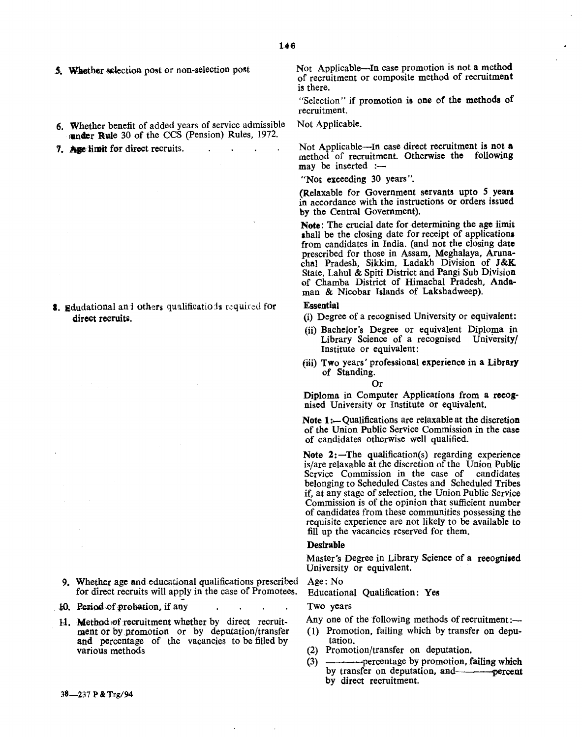- 5. Whether selection post or non-selection post
- 6. Whether benefit of added years of service admissible under Rule 30 of the CCS (Pension) Rules, 1972.
- 7. Asse limit for direct recruits.  $\mathbb{R}^2$

8. Edudational and others qualifications required for direct recruits.

- 9. Whether age and educational qualifications prescribed for direct recruits will applY in the case of Promotees.
- 10. Period of probation, if any
- 11. Method of recruitment whether by direct recruitment or by promotion or by deputation/transfer and percentage of the vacancies to be filled by various methods

Not Applicable-In case promotion is not a method of recruitment or composite method of recruitment is there.

"Selection" if promotion is one of the methods of recruitment.

#### Not Applicable.

Not Applicable-In case direct recruitment is not a method of recruitment. Otherwise the following may be inserted :-

"Not exceeding 30 years".

(Relaxable for Government servants upto 5 year. in accordance with the instructions or orders issued by the Central Government).

Note: The crucial date for determining the age limit shall be the closing date for receipt of applications. from candidates in India. (and not the closing date prescribed for those in Assam, Meghalaya, Arunachal Pradesh, Sikkim, Ladakh Division of J&K State, Lahul & Spiti District and Pangi Sub Division of Chamba District of Himachal Pradesh, Andaman & Nicobar Islands of Lakshadweep).

#### Essential

- (i) Degree of a recognised University or equivalent:
- (ii) Bachelor's Degree or equivalent Diploma in Library Science of a recognised University/ Institute or equivalent:
- (iii) Two years' professional experience in a Library of Standing.

Or

Diploma in Computer Applications from a reeognised University or Institute or equivalent.

Note  $1:$  Qualifications are relaxable at the discretion of the Union Public Service Commission in the case of candidates otherwise well qualified.

Note  $2$ :-The qualification(s) regarding experience is/are relaxable at the discretion of the Union Public Service Commission in the case of candidates belonging to Scheduled Castes and Scheduled Tribes if, at any stage of selection, the Union Public Service Commission is of the opinion that sufficient number of candidates from these communities possessing the requisite experience are not likely to be available to fill up the vacancies reserved for them.

#### Desirable

Master's Degree in Library Science of a reeognised University or equivalent.

# Age: No

Educational Qualification: Yes

## Two years

- Any one of the following methods of recruitment: $\overline{-}$
- (1) Promotion, failing which by transfer on deputation.
- (2) Promotion/transfer on deputation.
- (3) ---percentage by promotion, failingwbich by transfer on deputation, and-**-----------**percent by direct recruitment.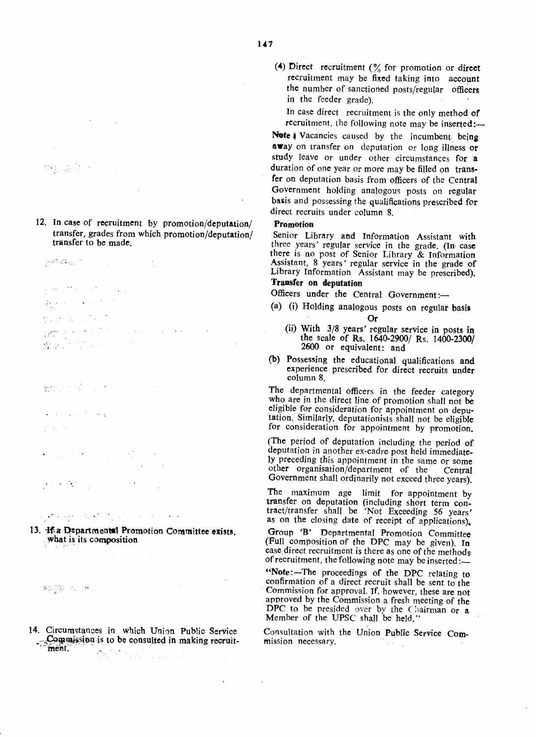**学生** 1200万

12. In case of recruitment by promotion/deputation/ transfer, grades from which promotion/deputation/ transfer to be made.

 $\mathcal{D}^{\text{odd}}(\mathcal{D}^{\text{b}}_{\mathcal{B}}(\mathcal{D}^{\text{b}}_{\mathcal{D}}))\cap\mathcal{D}^{\text{even}}_{\mathcal{D}^{\text{b}}(\mathcal{D}^{\text{b}}_{\mathcal{D}}(\mathcal{D}^{\text{b}}_{\mathcal{D}}))}$ 

 $\label{eq:3.1} \left\langle \phi_{\alpha\beta\gamma} \right\rangle \left\langle \xi^{\alpha\beta} \right\rangle \left\langle \xi^{\alpha\beta} \right\rangle = \left\langle \xi^{\alpha\beta} \right\rangle \left\langle \xi^{\alpha\beta} \right\rangle.$ 

North Store  $\sim$ 

化四极 小气石

i yezhoù obe  $\Delta \phi = 0.000$  .

奇異につけて

 $m\beta \leq \beta \leq \beta$ 

. The world of party  $\chi_{\rm{1}}$  ,  $\sigma_{\rm{1}}$ 

 $\sim$   $\star$  . r e servizione.<br>Se

 $\mathcal{F}$  defined in  $\mathcal{G}$  , we have 13. #a~partmenta1 Promotion Committee exists,

what is its composition

 $\mathbb{E}[\mathcal{L}^{\infty}_{\mathcal{A}}(\mathcal{L}^{\infty}_{\mathcal{A}}(\mathcal{A}^{\infty}_{\mathcal{A}}(\mathcal{A}^{\infty}_{\mathcal{A}}(\mathcal{A}^{\infty}_{\mathcal{A}}(\mathcal{A}^{\infty}_{\mathcal{A}}(\mathcal{A}^{\infty}_{\mathcal{A}}(\mathcal{A}^{\infty}_{\mathcal{A}}(\mathcal{A}^{\infty}_{\mathcal{A}}(\mathcal{A}^{\infty}_{\mathcal{A}}(\mathcal{A}^{\infty}_{\mathcal{A}}(\mathcal{A}^{\infty}_{\mathcal{A}}(\mathcal{A}^{\infty$ 

14. Circumstances in which Union Public Service . Commission is to be consulted in making recruit-<br>ment. (4) Direct recruitment  $(\frac{6}{6})$  for promotion or direct recruitment may be fixed taking into account the number of sanctioned posts/regular officers in the feeder grade).

In case direct recruitment is the only method of recruitment, the following note may be inserted:-

Note *i* Vacancies caused by the incumbent being away on transfer on deputation or long illness or study leave or under other circumstances for a duration of one year or more may be filled on transfer on deputation basis from officers of the Central Government holding analogous posts on regular basis and possessing the qualifications prescribed for direct recruits under column 8.

## Promotion

Senior Library and Information Assistant with three years' regular service in the grade. (In cas there is no post of Senior Library & Information Assistant, 8 years' regular service in the grade of Library Information Assistant may be prescribed

# Transfer on deputation

Officers under the Central Government:-

- (a) (i) Holding analogous posts on regular basis Or
	- (ii) With 3/8 years' regular service in posts in the scale of Rs. 1640-2900/ Rs. 1400-2300/ 2600 or equivalent: and
- (b) Possessing the educational qualifications and experience prescribed for direct recruits under column 8.

The departmental officers in the feeder category who are in the direct line of promotion shall not be eligible for consideration for appointment on deputation. Similarly, deputationists shall not be eligible for consideration for appointment by promotion.

(The period of deputation including the period of deputation in another ex-cadre post held immediately preceding this appointment in the same or some other organisation/department of the Central Government shall ordinarily not exceed three years).

The maximum age limit for appointment by transfer on deputation (including short term contract/transfer shall be 'Not Exceeding 56 years' as on the closing date of receipt of applications).

Group 'B' Departmental Promotion Committee (FUll composition of the DPC may be given). In case direct recruitment is there as one of the methods of recruitment, the following note may be inserted:-

"Note:-The proceedings of the DPC relating to confirmation of a direct recruit shall be sent to the Commission for approval. If, however, these are not approved by the Commission a fresh meeting of the DPC to be presided over by the Chairman or a Member of the UPSC shall be held."

Consultation with the Union Public Service Commission necessary.  $\sim$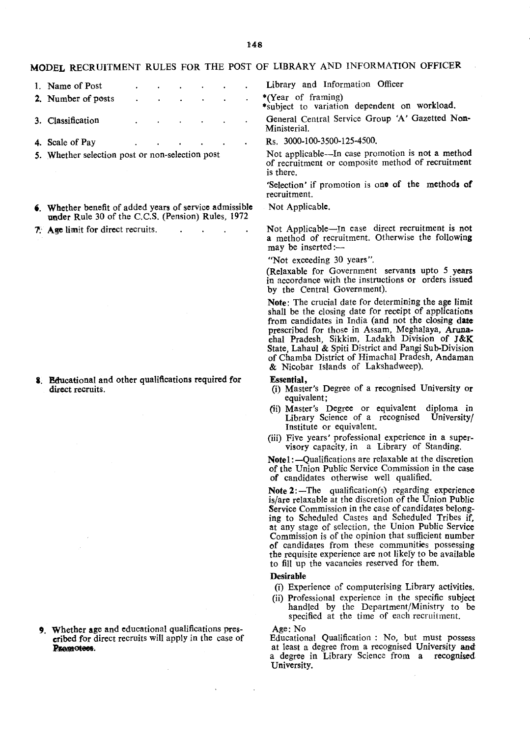$148$ 

# MODEL RECRUITMENT RULES FOR THE POST OF LIBRARY AND INFORMATION OFFICER

- 1. Name of Post 2. Number of posts
- 3. Classification
- 4. Scale of Pay  $\ddot{\phantom{a}}$
- S. Whether selection post or non-selection post
- 6. Whether benefit of added years of service admissible under Rule 30 of the C.C.S. (Pension) Rules, 1972
- 1.' Age limit for direct recruits.  $\mathbf{A}$

8. Educational and other qualifications required for direct recruits.

9. Whether age and educational qualifications prescribed for direct recruits will apply in the case of Premotees.

Library and Information Officer

- \*(Year of framing)
- \*subject to variation dependent on workload.
- General Central Service Group 'A' Gazetted Non-Ministerial.
- Rs. 3000-100-3500-125-4500.

Not applicable-In case promotion is not a method of recruitment Or composite method of recruitment is there.

'Selection' if promotion is one of the methods of recruitment.

Not Applicable.

Not Applicable-In case direct recruitment is not a method of recruitment. Otherwise the following may be inserted:-

#### "Not exceeding 30 years".

(Relaxable for Government servants upto 5 years in accordance with the instructions or orders issued by the Central Government).

Note: The crucial date for determining the age limit shall be the closing date for receipt of applications from candidates in India (and not the closing date prescribed for those in Assam, Meghalaya, Aruna. chal Pradesh, Sikkim, Ladakh Division of J&K State, Lahaul & Spiti District and Pangi Sub-Division of Chamba District of Himachal Pradesh, Andaman & Nicobar Islands of Lakshadweep).

#### Essential,

- (i) Master's Degree of a recognised University or equivalent;
- (ii) Master's Degree or equivalent diploma in Library Science of a recognised University/ Institute or equivalent.
- (iii) Five years' professional experience in a supervisory capacity, in a Library of Standing.

Notel:~Qualifications are relaxable at the discretion of the Union Public Service Commission in the case of candidates otherwise well qualified.

Note  $2$ : -The qualification(s) regarding experience is/are relaxable at the discretion of the Union Public Service Commission in the case of candidates belonging to Scheduled Castes and Scheduled Tribes if, at any stage of seleciion, the Union Public Service Commission is of the opinion that sufficient number of candidates from these communities possessing the requisite experience are not likely to be available to fill up the vacancies reserved for them.

## Desirable

- (i) Experience of computerising Library activities.
- (ii) Professional experience in the specific subject handled by the Department/Ministry to be specified at the time of each recruitment.
- Age: No

Educational Qualification: No, but must possess at least a degree from a recognised University anda degree in Library Science from a recognised University.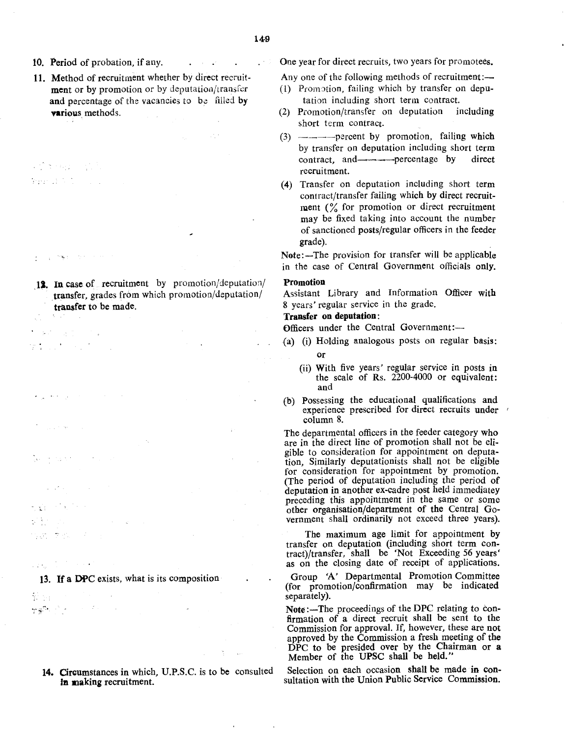$\mathbb{Z}^3$ 

 $\mathbf{1}^{\mathrm{max}}$  ,  $\mathbf{1}^{\mathrm{max}}$ 

иņ.

- 10. Period of probation, if any.
- 11. Method of recruitment whether by direct recruitment or by promotion or by deputation/transfer and percentage of the vacancies to be filled by various methods.
- (2) 全国的 (2) Presentation of the con-

 $\sigma(\mathbf{q},\mathbf{r}) = \sigma_{\rm{eff}}(\mathbf{r})$  , and

12. In case of recruitment by promotion/deputation/ transfer, grades from which promotion/deputation/ transfer to be made.

医特别分子 计字  $\mathcal{T}^{\mathcal{A}}_{\mathcal{A}}$  , and the set of  $\mathcal{A}^{\mathcal{A}}_{\mathcal{A}}$ 

 $\sim 20\,$  km  $^{-1}$ 

 $\mathcal{A} \subset \mathcal{A}$  . The set

学の あげいしん

المحاربين الحاجاني

 $\label{eq:2} \frac{1}{2}\sum_{i=1}^n\frac{1}{2}\sum_{i=1}^n\frac{1}{2}\sum_{i=1}^n\frac{1}{2}\sum_{i=1}^n\frac{1}{2}\sum_{i=1}^n\frac{1}{2}\sum_{i=1}^n\frac{1}{2}\sum_{i=1}^n\frac{1}{2}\sum_{i=1}^n\frac{1}{2}\sum_{i=1}^n\frac{1}{2}\sum_{i=1}^n\frac{1}{2}\sum_{i=1}^n\frac{1}{2}\sum_{i=1}^n\frac{1}{2}\sum_{i=1}^n\frac{1}{2}\sum_{i=1}^n\frac{$ 

13. If a DPC exists, what is its composition

 $\mathcal{V} \rightarrow \mathcal{V}$ 教部 アメリカ インファー

> 14. Circumstances in Which, U.P.S.C. is to be consulted In making recruitment.

One year for direct recruits, two years for promotees.

Any one of the following methods of recruitment:—

- $(1)$  Promotion, failing which by transfer on deputation including short term contract.
- (2) Promotion/transfer on deputation including short term contract.
- (3) ----percent by promotion, failing which by transfer on deputation including short term contract, and---percentage by direct recruitment.
- (4) Transfer on deputation including short term contract/transfer failing which by direct recruitment  $\binom{0}{0}$  for promotion or direct recruitment may be fixed taking into account the number of sanctioned posts/regular officers in the feeder grade).

Note:-The provision for transfer will be applicable in the case of Central Government officials only.

## Promotion

Assistant Library and Information Officer with 8 years' regular service in the grade.

### Transfer on deputation:

Officers under the Central Government:-

- (a) (i) Holding analogous posts on regular basis: or
	- (ii) With five years' regular service in posts in the scale of Rs.  $2200-4000$  or equivalent: and
- (b) Possessing the educational qualifications and experience prescribed for direct recruits under column 8.

The departmental officers in the feeder category who are in the direct line of promotion shall not be eligible to consideration for appointment on deputation, Similarly deputationists shall not be eligible for consideration for appointment by promotion. (The period of deputation including the period of deputation in another ex-cadre post held immediatey preceding this appointment in the same or some other organisation/department of the Central Government shall ordinarily not exceed three years).

The maximum age limit for appointment by transfer on deputation (including short term contract)/transfer, shall be 'Not Exceeding 56 years' as on the closing date of receipt of applications.

Group 'A' Departmental Promotion Committee (for promotion/confirmation may be indicated separately).

Note:—The proceedings of the DPC relating to confirmation of a direct recruit shall be sent to the Commission for approval. If, however, these are not approved by the Commission a fresh meeting of the DPC to be presided over by the Chairman or a Member of the UPSC shall be held."

Selection on each occasion shall be made in consultation with the Union Public Service Commission.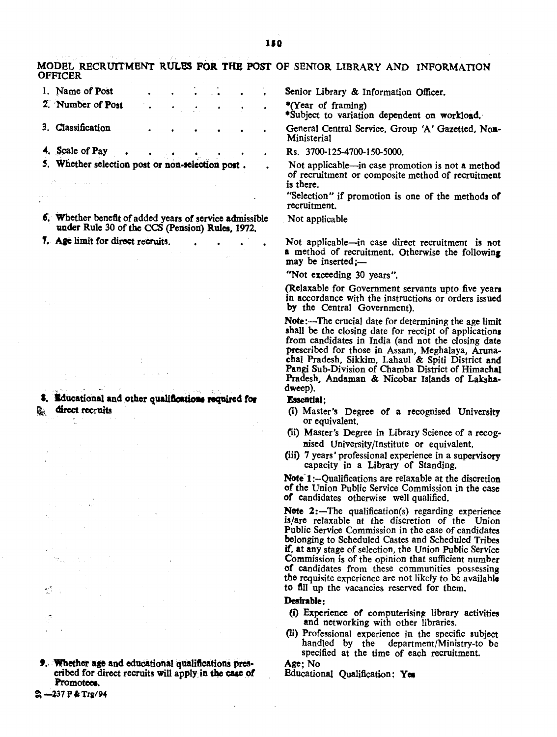MODEL RECRUITMENT RULES FOR THE POST OF SENIOR LIBRARY AND INFORMATION **OFFICER** 

- 1. Name of Post 2 Number of Post
- 3. Classification
- 4. Scale of Pay
- 5. Whether selection post or non-selection post.
- 6. Whether benefit of added years of service admissible under Rule 30 of the CCS (Pension) Rules, 1972.
- 7. Age limit for direct recruits.

Educational and other qualifications required for direct recruits

Ŵ.

2 -237 P & Trg/94

**9.** Whether age and educational qualifications prescribed for direct recruits will apply in the case of Promotees.

Senior Library & Information Officer.

\*(Year of framing)

\*Subject to variation dependent on workload.

General Central Service, Group 'A' Gazetted, Non-Ministerial

Rs. 3700-125-4700-150-5000.

Not applicable—in case promotion is not a method of recruitment or composite method of recruitment is there.

"Selection" if promotion is one of the methods of recruitment.

Not applicable

Not applicable—in case direct recruitment is not a method of recruitment. Otherwise the following may be inserted:-

"Not exceeding 30 years".

(Relaxable for Government servants upto five years in accordance with the instructions or orders issued by the Central Government).

Note:-The crucial date for determining the age limit shall be the closing date for receipt of applications from candidates in India (and not the closing date prescribed for those in Assam, Meghalaya, Arunachal Pradesh, Sikkim, Lahaul & Spiti District and Pangi Sub-Division of Chamba District of Himachal Pradesh. Andaman & Nicobar Islands of Lakshadweep).

## **Essential:**

- (i) Master's Degree of a recognised University or equivalent.
- (ii) Master's Degree in Library Science of a recognised University/Institute or equivalent.
- (iii) 7 years' professional experience in a supervisory capacity in a Library of Standing.

Note 1:--Qualifications are relaxable at the discretion of the Union Public Service Commission in the case of candidates otherwise well qualified.

Note 2:-The qualification(s) regarding experience is/are relaxable at the discretion of the Union Public Service Commission in the case of candidates belonging to Scheduled Castes and Scheduled Tribes if, at any stage of selection, the Union Public Service Commission is of the opinion that sufficient number of candidates from these communities possessing the requisite experience are not likely to be available to fill up the vacancies reserved for them.

## Desirable:

- (i) Experience of computerising library activities and networking with other libraries.
- (ii) Professional experience in the specific subject handled by the department/Ministry-to be specified at the time of each recruitment.

Age: No Educational Qualification: Yes